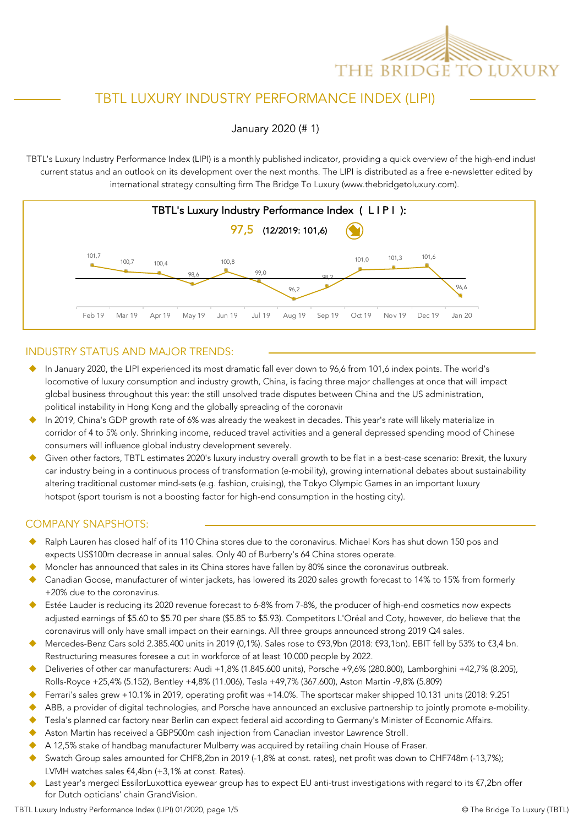

# TBTL LUXURY INDUSTRY PERFORMANCE INDEX (LIPI)

January 2020 (# 1)

TBTL's Luxury Industry Performance Index (LIPI) is a monthly published indicator, providing a quick overview of the high-end indust current status and an outlook on its development over the next months. The LIPI is distributed as a free e-newsletter edited by international strategy consulting firm The Bridge To Luxury (www.thebridgetoluxury.com).



#### INDUSTRY STATUS AND MAJOR TRENDS:

- $\bullet$  In January 2020, the LIPI experienced its most dramatic fall ever down to 96,6 from 101,6 index points. The world's locomotive of luxury consumption and industry growth, China, is facing three major challenges at once that will impact global business throughout this year: the still unsolved trade disputes between China and the US administration, political instability in Hong Kong and the globally spreading of the coronavir
- In 2019, China's GDP growth rate of 6% was already the weakest in decades. This year's rate will likely materialize in corridor of 4 to 5% only. Shrinking income, reduced travel activities and a general depressed spending mood of Chinese consumers will influence global industry development severely.
- Given other factors, TBTL estimates 2020's luxury industry overall growth to be flat in a best-case scenario: Brexit, the luxury car industry being in a continuous process of transformation (e-mobility), growing international debates about sustainability altering traditional customer mind-sets (e.g. fashion, cruising), the Tokyo Olympic Games in an important luxury hotspot (sport tourism is not a boosting factor for high-end consumption in the hosting city).

### COMPANY SNAPSHOTS:

- Ralph Lauren has closed half of its 110 China stores due to the coronavirus. Michael Kors has shut down 150 pos and expects US\$100m decrease in annual sales. Only 40 of Burberry's 64 China stores operate.
- Moncler has announced that sales in its China stores have fallen by 80% since the coronavirus outbreak.
- u Canadian Goose, manufacturer of winter jackets, has lowered its 2020 sales growth forecast to 14% to 15% from formerly +20% due to the coronavirus.
- Estée Lauder is reducing its 2020 revenue forecast to 6-8% from 7-8%, the producer of high-end cosmetics now expects adjusted earnings of \$5.60 to \$5.70 per share (\$5.85 to \$5.93). Competitors L'Oréal and Coty, however, do believe that the coronavirus will only have small impact on their earnings. All three groups announced strong 2019 Q4 sales.
- u Mercedes-Benz Cars sold 2.385.400 units in 2019 (0,1%). Sales rose to €93,9bn (2018: €93,1bn). EBIT fell by 53% to €3,4 bn. Restructuring measures foresee a cut in workforce of at least 10.000 people by 2022.
- u Deliveries of other car manufacturers: Audi +1,8% (1.845.600 units), Porsche +9,6% (280.800), Lamborghini +42,7% (8.205), Rolls-Royce +25,4% (5.152), Bentley +4,8% (11.006), Tesla +49,7% (367.600), Aston Martin -9,8% (5.809)
- Ferrari's sales grew +10.1% in 2019, operating profit was +14.0%. The sportscar maker shipped 10.131 units (2018: 9.251).
- ABB, a provider of digital technologies, and Porsche have announced an exclusive partnership to jointly promote e-mobility.
- Tesla's planned car factory near Berlin can expect federal aid according to Germany's Minister of Economic Affairs.
- Aston Martin has received a GBP500m cash injection from Canadian investor Lawrence Stroll.
- A 12,5% stake of handbag manufacturer Mulberry was acquired by retailing chain House of Fraser.
- Swatch Group sales amounted for CHF8,2bn in 2019 (-1,8% at const. rates), net profit was down to CHF748m (-13,7%); LVMH watches sales €4,4bn (+3,1% at const. Rates).
- Last year's merged EssilorLuxottica eyewear group has to expect EU anti-trust investigations with regard to its €7,2bn offer for Dutch opticians' chain GrandVision.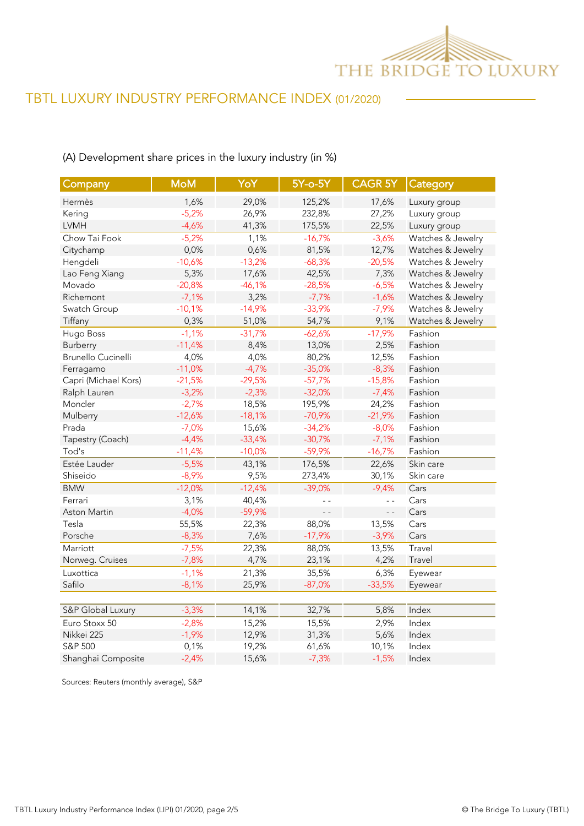

## (A) Development share prices in the luxury industry (in %)

| Company                   | <b>MoM</b> | YoY      | 5Y-o-5Y        | <b>CAGR 5Y</b> | Category          |
|---------------------------|------------|----------|----------------|----------------|-------------------|
| Hermès                    | 1,6%       | 29,0%    | 125,2%         | 17,6%          | Luxury group      |
| Kering                    | $-5,2%$    | 26,9%    | 232,8%         | 27,2%          | Luxury group      |
| <b>LVMH</b>               | $-4,6%$    | 41,3%    | 175,5%         | 22,5%          | Luxury group      |
| Chow Tai Fook             | $-5,2%$    | 1,1%     | $-16,7%$       | $-3,6%$        | Watches & Jewelry |
| Citychamp                 | 0,0%       | 0,6%     | 81,5%          | 12,7%          | Watches & Jewelry |
| Hengdeli                  | $-10,6%$   | $-13,2%$ | $-68,3%$       | $-20,5%$       | Watches & Jewelry |
| Lao Feng Xiang            | 5,3%       | 17,6%    | 42,5%          | 7,3%           | Watches & Jewelry |
| Movado                    | $-20,8%$   | $-46,1%$ | $-28,5%$       | $-6,5%$        | Watches & Jewelry |
| Richemont                 | $-7,1%$    | 3,2%     | $-7,7%$        | $-1,6%$        | Watches & Jewelry |
| Swatch Group              | $-10,1%$   | $-14,9%$ | $-33,9%$       | $-7,9%$        | Watches & Jewelry |
| Tiffany                   | 0,3%       | 51,0%    | 54,7%          | 9,1%           | Watches & Jewelry |
| Hugo Boss                 | $-1,1%$    | $-31,7%$ | $-62,6%$       | $-17,9%$       | Fashion           |
| Burberry                  | $-11,4%$   | 8,4%     | 13,0%          | 2,5%           | Fashion           |
| <b>Brunello Cucinelli</b> | 4,0%       | 4,0%     | 80,2%          | 12,5%          | Fashion           |
| Ferragamo                 | $-11,0%$   | $-4,7%$  | $-35,0%$       | $-8,3%$        | Fashion           |
| Capri (Michael Kors)      | $-21,5%$   | $-29,5%$ | $-57,7%$       | $-15,8%$       | Fashion           |
| Ralph Lauren              | $-3,2%$    | $-2,3%$  | $-32,0%$       | $-7,4%$        | Fashion           |
| Moncler                   | $-2,7%$    | 18,5%    | 195,9%         | 24,2%          | Fashion           |
| Mulberry                  | $-12,6%$   | $-18,1%$ | $-70,9%$       | $-21,9%$       | Fashion           |
| Prada                     | $-7,0%$    | 15,6%    | $-34,2%$       | $-8,0%$        | Fashion           |
| Tapestry (Coach)          | $-4,4%$    | $-33,4%$ | $-30,7%$       | $-7,1%$        | Fashion           |
| Tod's                     | $-11,4%$   | $-10,0%$ | $-59,9%$       | $-16,7%$       | Fashion           |
| Estée Lauder              | $-5,5%$    | 43,1%    | 176,5%         | 22,6%          | Skin care         |
| Shiseido                  | $-8,9%$    | 9,5%     | 273,4%         | 30,1%          | Skin care         |
| <b>BMW</b>                | $-12,0%$   | $-12,4%$ | $-39,0%$       | $-9,4%$        | Cars              |
| Ferrari                   | 3,1%       | 40,4%    |                | $\overline{a}$ | Cars              |
| Aston Martin              | $-4,0%$    | $-59,9%$ | $\overline{a}$ | $\overline{a}$ | Cars              |
| Tesla                     | 55,5%      | 22,3%    | 88,0%          | 13,5%          | Cars              |
| Porsche                   | $-8,3%$    | 7,6%     | $-17,9%$       | $-3,9%$        | Cars              |
| Marriott                  | $-7,5%$    | 22,3%    | 88,0%          | 13,5%          | Travel            |
| Norweg. Cruises           | $-7,8%$    | 4,7%     | 23,1%          | 4,2%           | Travel            |
| Luxottica                 | $-1,1%$    | 21,3%    | 35,5%          | 6,3%           | Eyewear           |
| Safilo                    | $-8,1%$    | 25,9%    | $-87,0%$       | $-33,5%$       | Eyewear           |
|                           |            |          |                |                |                   |
| S&P Global Luxury         | $-3,3%$    | 14,1%    | 32,7%          | 5,8%           | Index             |
| Euro Stoxx 50             | $-2,8%$    | 15,2%    | 15,5%          | 2,9%           | Index             |
| Nikkei 225                | $-1,9%$    | 12,9%    | 31,3%          | 5,6%           | Index             |
| S&P 500                   | 0,1%       | 19,2%    | 61,6%          | 10,1%          | Index             |
| Shanghai Composite        | $-2,4%$    | 15,6%    | $-7,3%$        | $-1,5%$        | Index             |

Sources: Reuters (monthly average), S&P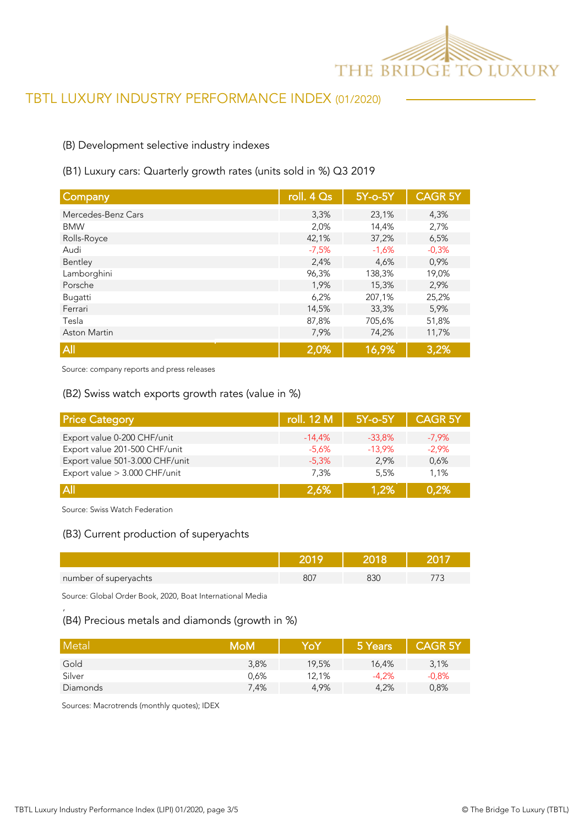

#### (B) Development selective industry indexes

#### (B1) Luxury cars: Quarterly growth rates (units sold in %) Q3 2019

| Company             | roll. 4 Qs | 5Y-o-5Y | <b>CAGR 5Y</b> |
|---------------------|------------|---------|----------------|
| Mercedes-Benz Cars  | 3,3%       | 23,1%   | 4,3%           |
| <b>BMW</b>          | 2,0%       | 14,4%   | 2,7%           |
| Rolls-Royce         | 42,1%      | 37,2%   | 6,5%           |
| Audi                | $-7,5%$    | $-1,6%$ | $-0,3%$        |
| Bentley             | 2,4%       | 4,6%    | 0,9%           |
| Lamborghini         | 96,3%      | 138,3%  | 19,0%          |
| Porsche             | 1,9%       | 15,3%   | 2,9%           |
| Bugatti             | 6,2%       | 207,1%  | 25,2%          |
| Ferrari             | 14,5%      | 33,3%   | 5,9%           |
| Tesla               | 87,8%      | 705,6%  | 51,8%          |
| <b>Aston Martin</b> | 7,9%       | 74,2%   | 11,7%          |
| All                 | 2,0%       | 16,9%   | 3,2%           |

Source: company reports and press releases

#### (B2) Swiss watch exports growth rates (value in %)

| <b>Price Category</b>           | roll. 12 M | 5Y-o-5Y  | <b>CAGR 5Y</b> |
|---------------------------------|------------|----------|----------------|
| Export value 0-200 CHF/unit     | $-14.4%$   | $-33.8%$ | $-7.9%$        |
| Export value 201-500 CHF/unit   | $-5.6%$    | $-13.9%$ | $-2,9%$        |
| Export value 501-3.000 CHF/unit | $-5,3%$    | 2.9%     | 0,6%           |
| Export value > 3.000 CHF/unit   | 7.3%       | 5.5%     | 1.1%           |
| <b>All</b>                      | 2.6%       | 1.2%     | 0.2%           |

Source: Swiss Watch Federation

'

#### (B3) Current production of superyachts

| number of superyachts | 80 | .N |  |
|-----------------------|----|----|--|

Source: Global Order Book, 2020, Boat International Media

## (B4) Precious metals and diamonds (growth in %)

| Metal    | MoM  | YoY   | 5 Years | <b>CAGR 5Y</b> |
|----------|------|-------|---------|----------------|
| Gold     | 3,8% | 19,5% | 16,4%   | 3,1%           |
| Silver   | 0,6% | 12,1% | $-4.2%$ | $-0.8%$        |
| Diamonds | 7,4% | 4.9%  | 4.2%    | 0,8%           |

Sources: Macrotrends (monthly quotes); IDEX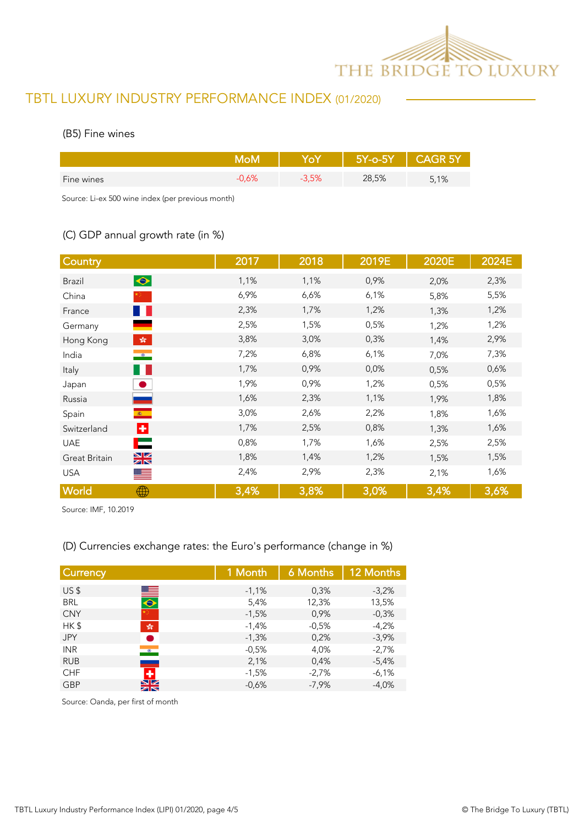

#### (B5) Fine wines

|            |    | $Y$ -o-5 $Y$ | GK 51 |
|------------|----|--------------|-------|
| Fine wines | 5% | 28,5%        | 5,1%  |

Source: Li-ex 500 wine index (per previous month)

## (C) GDP annual growth rate (in %)

| Country                                     | 2017 | 2018 | 2019E | 2020E | 2024E |
|---------------------------------------------|------|------|-------|-------|-------|
| $\bullet$<br><b>Brazil</b>                  | 1,1% | 1,1% | 0,9%  | 2,0%  | 2,3%  |
| China                                       | 6,9% | 6,6% | 6,1%  | 5,8%  | 5,5%  |
| France<br>and the                           | 2,3% | 1,7% | 1,2%  | 1,3%  | 1,2%  |
| Germany                                     | 2,5% | 1,5% | 0,5%  | 1,2%  | 1,2%  |
| $\frac{\sqrt{3}}{2\sqrt{3}}$<br>Hong Kong   | 3,8% | 3,0% | 0,3%  | 1,4%  | 2,9%  |
| $\bullet$<br>India                          | 7,2% | 6,8% | 6,1%  | 7,0%  | 7,3%  |
| w<br>Italy                                  | 1,7% | 0,9% | 0,0%  | 0,5%  | 0,6%  |
| Japan                                       | 1,9% | 0,9% | 1,2%  | 0,5%  | 0,5%  |
| Russia                                      | 1,6% | 2,3% | 1,1%  | 1,9%  | 1,8%  |
| $\langle \hat{\mathbf{x}} \rangle$<br>Spain | 3,0% | 2,6% | 2,2%  | 1,8%  | 1,6%  |
| ÷<br>Switzerland                            | 1,7% | 2,5% | 0,8%  | 1,3%  | 1,6%  |
| E<br><b>UAE</b>                             | 0,8% | 1,7% | 1,6%  | 2,5%  | 2,5%  |
| $\frac{N}{N}$<br>Great Britain              | 1,8% | 1,4% | 1,2%  | 1,5%  | 1,5%  |
| <b>USA</b><br>$=$                           | 2,4% | 2,9% | 2,3%  | 2,1%  | 1,6%  |
| World<br>⊕                                  | 3,4% | 3,8% | 3,0%  | 3,4%  | 3,6%  |

Source: IMF, 10.2019

## (D) Currencies exchange rates: the Euro's performance (change in %)

| 1 Month | 6 Months | 12 Months |
|---------|----------|-----------|
| $-1,1%$ | 0.3%     | $-3,2%$   |
| 5,4%    | 12,3%    | 13,5%     |
| $-1,5%$ | 0,9%     | $-0,3%$   |
| $-1,4%$ | $-0.5%$  | $-4,2%$   |
| $-1,3%$ | 0,2%     | $-3,9%$   |
| $-0.5%$ | 4,0%     | $-2,7%$   |
| 2,1%    | 0,4%     | $-5,4%$   |
| $-1,5%$ | $-2,7%$  | $-6,1%$   |
| $-0,6%$ | $-7,9%$  | $-4,0%$   |
|         |          |           |

Source: Oanda, per first of month